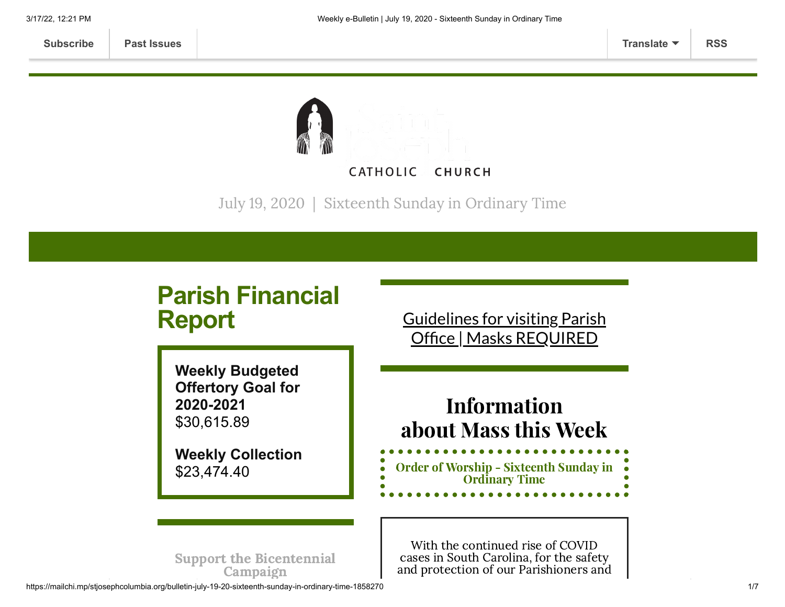

July 19, 2020 | Sixteenth Sunday in Ordinary Time

## **Parish Financial Report Weekly Budgeted Offertory Goal for 2020-2021** \$30,615.89 **Weekly Collection** \$23,474.40 Guidelines for visiting Parish Office | Masks [REQUIRED](https://www.stjosephcolumbia.org/church-and-parish-office-hours) Information about Mass this Week With the continued rise of COVID cases in South Carolina, for the safety Order of Worship - [Sixteenth](https://84aadc19-53c5-40cc-90da-b6ef66a7e382.filesusr.com/ugd/2de225_12ff294d3f3a4098b3535dd602083392.pdf) Sunday in Ordinary Time

and protection of our Parishioners and

Support the [Bicentennial](https://www.stjosephcolumbia.org/bicentennial-campaign) Campaign

https://mailchi.mp/stjosephcolumbia.org/bulletin-july-19-20-sixteenth-sunday-in-ordinary-time-1858270 1/7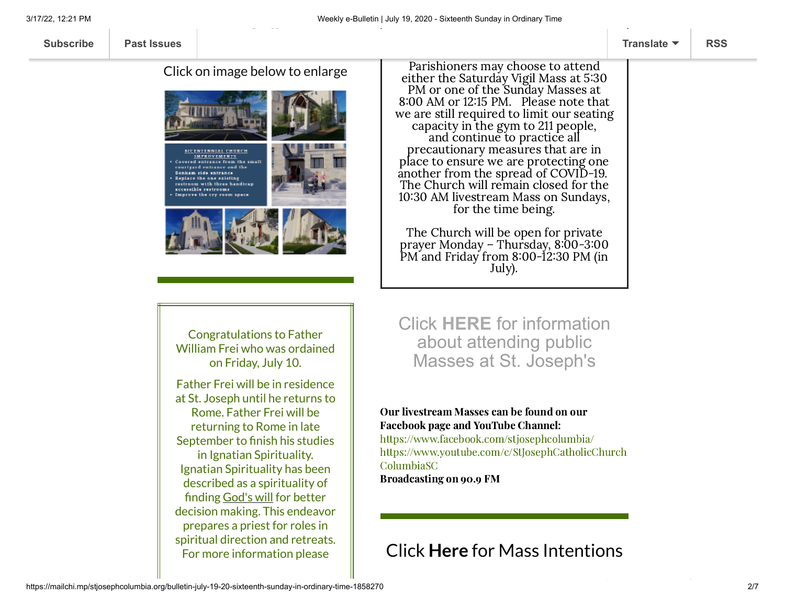Click on image below to enlarge



Parishioners may choose to attend either the Saturday Vigil Mass at 5:30 PM or one of the Sunday Masses at 8:00 AM or 12:15 PM. Please note that we are still required to limit our seating capacity in the gym to 211 people, and continue to practice all precautionary measures that are in place to ensure we are protecting one another from the spread of COVID-19. The Church will remain closed for the 10:30 AM livestream Mass on Sundays, for the time being.

The Church will be open for private prayer Monday – Thursday, 8:00-3:00 PM and Friday from 8:00-12:30 PM (in July).

Congratulations to Father William Frei who was ordained on Friday, July 10.

Father Frei will be in residence at St. Joseph until he returns to Rome. Father Frei will be returning to Rome in late September to finish his studies in Ignatian Spirituality. Ignatian Spirituality has been described as a spirituality of finding [God's](https://en.wikipedia.org/wiki/God%27s_will) will for better decision making. This endeavor prepares a priest for roles in spiritual direction and retreats. For more information please

Click **[HERE](https://www.stjosephcolumbia.org/resuming-public-masses)** for information about attending public Masses at St. Joseph's

#### Our livestream Masses can be found on our Facebook page and YouTube Channel:

<https://www.facebook.com/stjosephcolumbia/> [https://www.youtube.com/c/StJosephCatholicChurch](https://www.youtube.com/c/StJosephCatholicChurchColumbiaSC) ColumbiaSC

Broadcasting on 90.9 FM

# Click **Here** for [Mass Intentions](https://www.stjosephcolumbia.org/mass-intentions)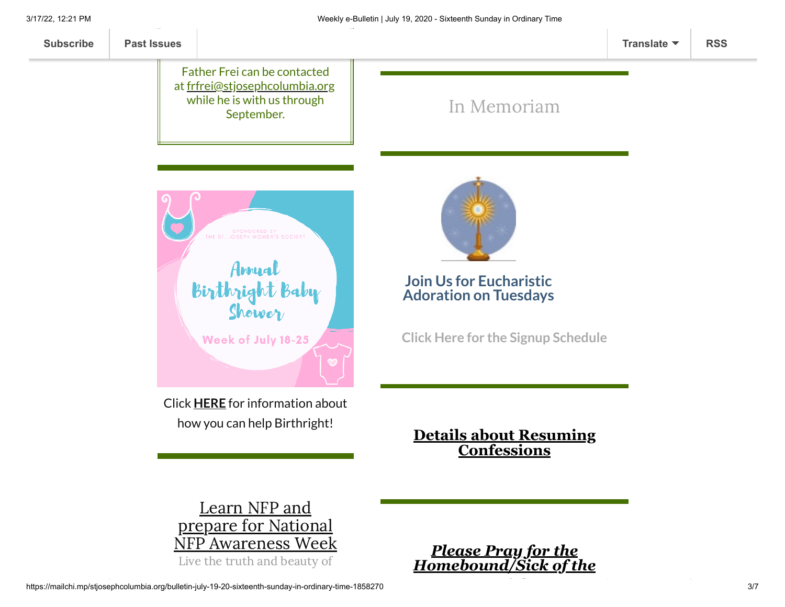

prepare for National NFP [Awareness](http://usccb.org/issues-and-action/marriage-and-family/natural-family-planning/awareness-week/upload/2020-NFP-Week-Bulletin-Insert-Live-the-Truth.pdf) Week Live the truth and beauty of

*Please Pray for the [Homebound/Sick of the](https://www.stjosephcolumbia.org/pray-for-the-homebound-sick-of-pari)*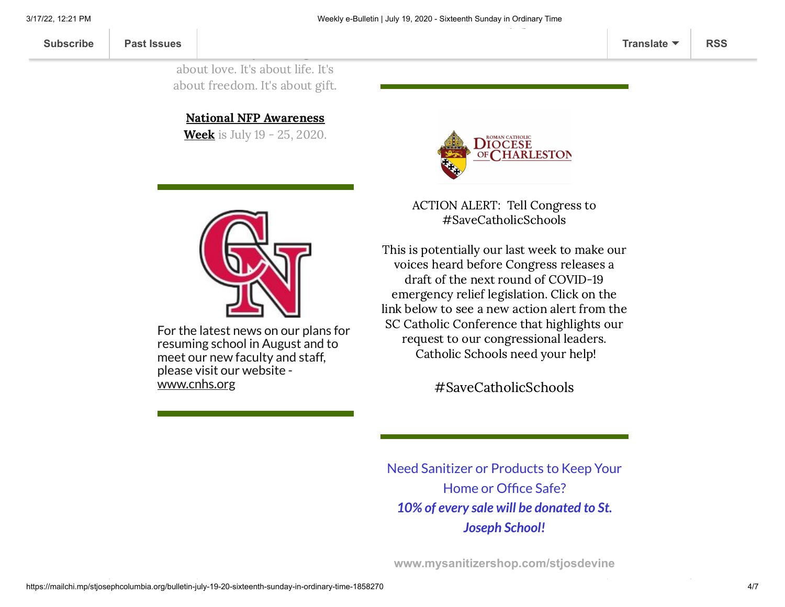Natural Family Planning: It's about love. It's about life. It's about freedom. It's about gift.

 $\overline{\phantom{a}}$ 

National NFP [Awareness](http://usccb.org/issues-and-action/marriage-and-family/natural-family-planning/awareness-week/upload/2020-NFP-Week-Bulletin-Insert-Live-the-Truth.pdf)

**Week** is July 19 - 25, 2020.



ACTION ALERT: Tell Congress to #SaveCatholicSchools

This is potentially our last week to make our voices heard before Congress releases a draft of the next round of COVID-19 emergency relief legislation. Click on the link below to see a new action alert from the SC Catholic Conference that highlights our request to our congressional leaders. Catholic Schools need your help!

[#SaveCatholicSchools](https://charlestondiocese.org/south-carolina-catholic-conference/take-action/)

Need Sanitizer or Products to Keep Your Home or Office Safe? *10% of every sale will be donated to St. Joseph School!*

**[www.mysanitizershop.com/stjosdevine](https://mcusercontent.com/7399f6b35c8ab775fb1714c3d/images/8dd9b4f6-8ee3-42ea-a5ab-52e57935aca3.png)**



For the latest news on our plans for resuming school in August and to meet our new faculty and staff, please visit our website [www.cnhs.org](http://www.cnhs.org/)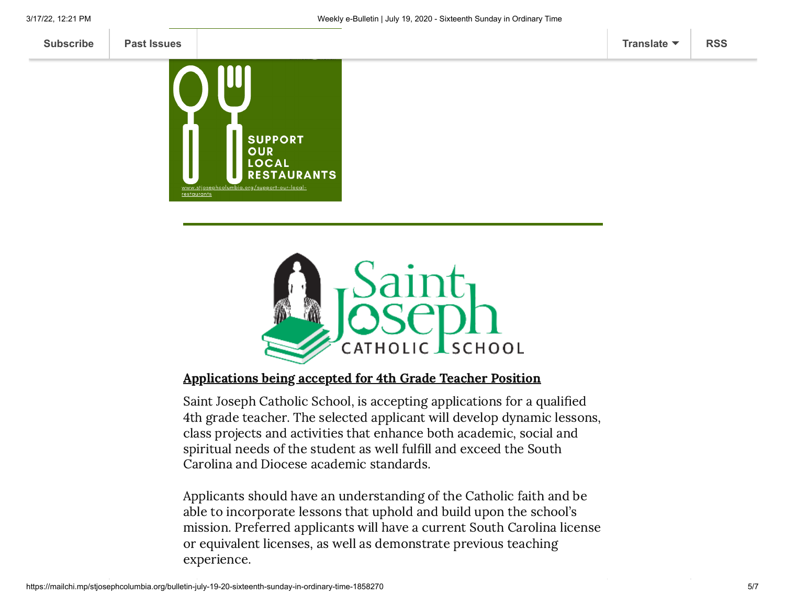



### Applications being accepted for 4th Grade Teacher Position

Saint Joseph Catholic School, is accepting applications for a qualified 4th grade teacher. The selected applicant will develop dynamic lessons, class projects and activities that enhance both academic, social and spiritual needs of the student as well fulfill and exceed the South Carolina and Diocese academic standards.

Applicants should have an understanding of the Catholic faith and be able to incorporate lessons that uphold and build upon the school's mission. Preferred applicants will have a current South Carolina license or equivalent licenses, as well as demonstrate previous teaching experience.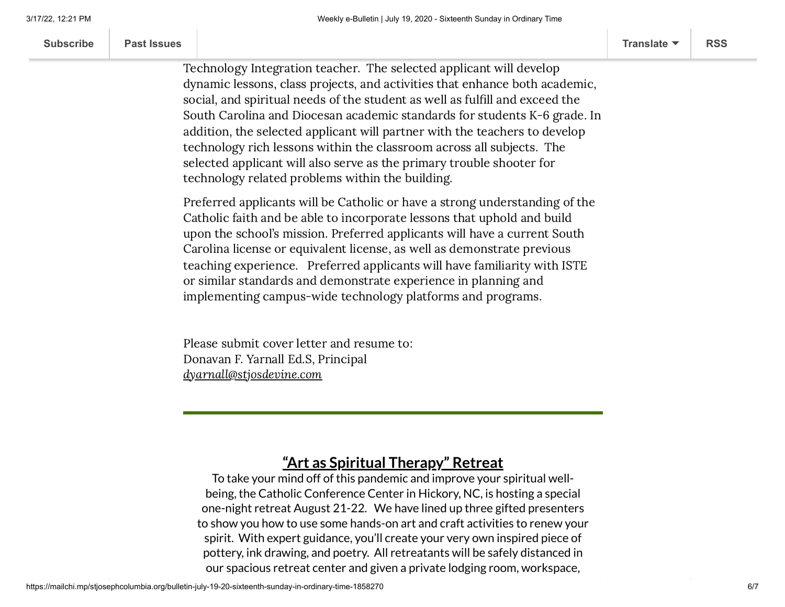| <b>Subscribe</b> | <b>Past Issues</b> | Translate $\blacktriangledown$ | <b>RSS</b> |
|------------------|--------------------|--------------------------------|------------|
|                  |                    |                                |            |

Saint Joseph Catholic School, is accepting applications for a qualified

Technology Integration teacher. The selected applicant will develop dynamic lessons, class projects, and activities that enhance both academic, social, and spiritual needs of the student as well as fulfill and exceed the South Carolina and Diocesan academic standards for students K-6 grade. In addition, the selected applicant will partner with the teachers to develop technology rich lessons within the classroom across all subjects. The selected applicant will also serve as the primary trouble shooter for technology related problems within the building.

 $A_{\rm eff}$  accepted for Technology Integrations being accepted for Teacher Position Teacher Position Teacher Position Teacher Position Teacher Position Teacher Position Teacher Position Teacher Position Teacher Position Tea

Preferred applicants will be Catholic or have a strong understanding of the Catholic faith and be able to incorporate lessons that uphold and build upon the school's mission. Preferred applicants will have a current South Carolina license or equivalent license, as well as demonstrate previous teaching experience. Preferred applicants will have familiarity with ISTE or similar standards and demonstrate experience in planning and implementing campus-wide technology platforms and programs.

Please submit cover letter and resume to: Donavan F. Yarnall Ed.S, Principal [dyarnall@stjosdevine.com](mailto:dyarnall@stjosdevine.com)

## **"Art as Spiritual Therapy" Retreat**

To take your mind off of this pandemic and improve your spiritual wellbeing, the Catholic Conference Center in Hickory, NC, is hosting a special one-night retreat August 21-22. We have lined up three gifted presenters to show you how to use some hands-on art and craft activities to renew your spirit. With expert guidance, you'll create your very own inspired piece of pottery, ink drawing, and poetry. All retreatants will be safely distanced in our spacious retreat center and given a private lodging room, workspace,